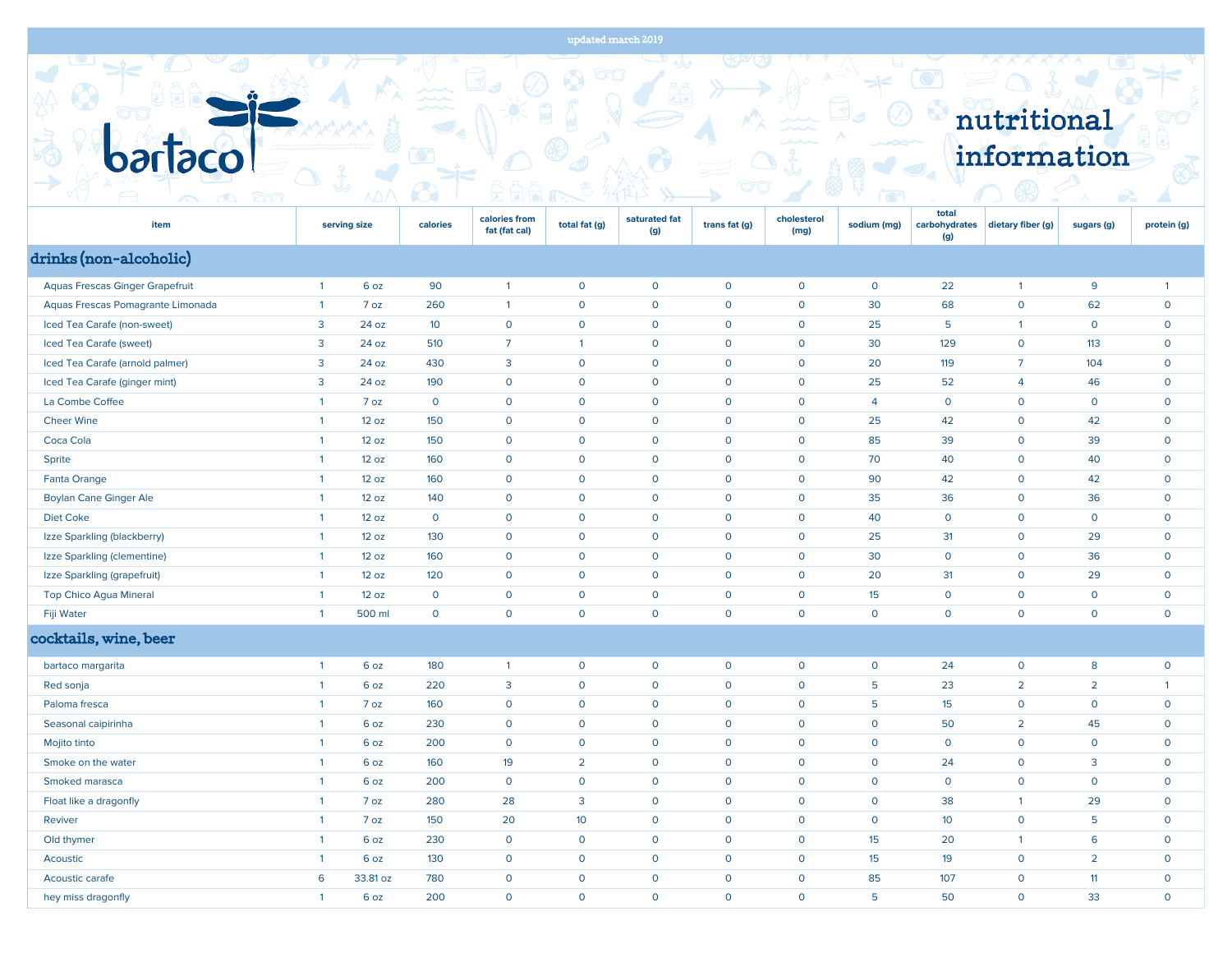## updated march 2019



| item                                   | serving size   |          | calories        | calories from<br>fat (fat cal) | total fat (g)   | saturated fat<br>(g) | trans fat (g) | cholesterol<br>(mg) | sodium (mg)    | total<br>(g)    | carbohydrates   dietary fiber (g) | sugars (g)     | protein (g)    |
|----------------------------------------|----------------|----------|-----------------|--------------------------------|-----------------|----------------------|---------------|---------------------|----------------|-----------------|-----------------------------------|----------------|----------------|
| drinks (non-alcoholic)                 |                |          |                 |                                |                 |                      |               |                     |                |                 |                                   |                |                |
| <b>Aquas Frescas Ginger Grapefruit</b> | $\mathbf{1}$   | 6 oz     | 90              | $\mathbf{1}$                   | $\mathbf 0$     | $\mathsf{o}$         | $\mathbf 0$   | $\mathbf 0$         | 0              | 22              | $\mathbf{1}$                      | 9              | $\overline{1}$ |
| Aquas Frescas Pomagrante Limonada      | $\overline{1}$ | 7 oz     | 260             | $\overline{1}$                 | $\mathbf 0$     | $\mathsf{o}$         | $\mathbf 0$   | $\mathbf 0$         | 30             | 68              | $\mathsf O$                       | 62             | $\mathsf{o}$   |
| Iced Tea Carafe (non-sweet)            | $\overline{3}$ | 24 oz    | 10 <sup>°</sup> | $\mathsf{O}$                   | $\mathbf 0$     | $\mathbf 0$          | $\mathbf 0$   | $\mathbf 0$         | 25             | $5\phantom{.0}$ | $\mathbf{1}$                      | $\mathsf{o}$   | $\mathsf{o}$   |
| Iced Tea Carafe (sweet)                | 3              | 24 oz    | 510             | $\overline{7}$                 | $\mathbf{1}$    | $\mathbf 0$          | $\mathbf 0$   | $\mathbf 0$         | 30             | 129             | $\mathbf 0$                       | 113            | $\mathsf{o}$   |
| Iced Tea Carafe (arnold palmer)        | 3              | 24 oz    | 430             | 3                              | $\mathsf{O}$    | $\mathbf 0$          | $\mathsf O$   | $\mathbf 0$         | 20             | 119             | $\overline{7}$                    | 104            | $\mathsf{o}$   |
| Iced Tea Carafe (ginger mint)          | 3              | 24 oz    | 190             | $\mathbf 0$                    | $\mathbf 0$     | $\mathbf 0$          | $\mathbf 0$   | $\mathbf 0$         | 25             | 52              | $\overline{4}$                    | 46             | $\mathsf{o}$   |
| La Combe Coffee                        | $\overline{1}$ | 7 oz     | $\mathsf O$     | $\mathsf{O}$                   | $\mathbf 0$     | $\mathbf 0$          | $\mathsf O$   | $\mathbf 0$         | $\overline{4}$ | $\mathsf{O}$    | $\mathsf O$                       | $\mathsf{O}$   | $\mathsf{o}$   |
| <b>Cheer Wine</b>                      | $\mathbf{1}$   | 12 oz    | 150             | $\mathsf{O}$                   | $\mathbf 0$     | $\mathbf 0$          | $\mathsf O$   | $\mathbf 0$         | 25             | 42              | $\mathsf O$                       | 42             | $\mathbf 0$    |
| Coca Cola                              | $\overline{1}$ | 12 oz    | 150             | $\mathsf{o}$                   | $\mathbf 0$     | $\mathbf 0$          | $\mathbf 0$   | $\mathbf 0$         | 85             | 39              | $\mathsf{o}$                      | 39             | $\mathsf{o}$   |
| Sprite                                 | $\overline{1}$ | 12 oz    | 160             | $\mathbf 0$                    | $\circ$         | $\mathbf 0$          | $\mathbf 0$   | $\mathbf 0$         | 70             | 40              | $\mathbf 0$                       | 40             | $\mathsf{o}$   |
| <b>Fanta Orange</b>                    | $\overline{1}$ | 12 oz    | 160             | $\mathbf 0$                    | $\mathbf 0$     | $\mathbf 0$          | $\mathbf 0$   | $\mathbf 0$         | 90             | 42              | $\mathsf{o}$                      | 42             | $\mathsf{o}$   |
| <b>Boylan Cane Ginger Ale</b>          | $\overline{1}$ | 12 oz    | 140             | $\mathbf 0$                    | $\mathbf 0$     | $\mathbf 0$          | $\mathbf 0$   | $\mathbf 0$         | 35             | 36              | $\mathsf{O}$                      | 36             | $\mathsf{o}$   |
| <b>Diet Coke</b>                       | $\overline{1}$ | 12 oz    | $\mathbf 0$     | $\mathsf{o}$                   | $\mathbf 0$     | $\mathbf 0$          | $\mathbf 0$   | $\mathbf 0$         | 40             | $\mathbf 0$     | $\mathsf{O}$                      | $\mathbf 0$    | $\mathbf{O}$   |
| Izze Sparkling (blackberry)            | $\mathbf{1}$   | 12 oz    | 130             | $\mathbf 0$                    | $\mathbf{O}$    | $\mathbf 0$          | $\mathbf 0$   | $\mathbf 0$         | 25             | 31              | $\mathbf 0$                       | 29             | $\mathbf{O}$   |
| Izze Sparkling (clementine)            | $\overline{1}$ | 12 oz    | 160             | $\mathsf{O}$                   | $\circ$         | $\mathbf 0$          | $\mathsf O$   | $\mathsf O$         | 30             | $\mathsf{O}$    | $\mathsf O$                       | 36             | $\mathsf{o}$   |
| Izze Sparkling (grapefruit)            | $\mathbf{1}$   | 12 oz    | 120             | $\mathbf 0$                    | $\mathbf 0$     | $\mathbf 0$          | $\mathbf 0$   | $\mathbf 0$         | 20             | 31              | $\mathsf O$                       | 29             | $\mathsf O$    |
| Top Chico Agua Mineral                 | $\overline{1}$ | 12 oz    | $\mathbf 0$     | $\mathsf{o}$                   | $\mathsf{o}$    | $\mathsf{O}$         | $\mathbf 0$   | $\mathbf 0$         | 15             | $\mathbf 0$     | $\mathbf 0$                       | $\mathsf{o}$   | $\mathbf 0$    |
| Fiji Water                             | $\overline{1}$ | 500 ml   | $\mathbf 0$     | $\mathsf O$                    | $\mathsf{o}$    | $\mathbf 0$          | $\mathbf 0$   | $\mathbf 0$         | $\mathsf{o}$   | $\mathbf 0$     | $\mathbf 0$                       | $\mathbf 0$    | $\mathsf{o}$   |
| cocktails, wine, beer                  |                |          |                 |                                |                 |                      |               |                     |                |                 |                                   |                |                |
| bartaco margarita                      | $\overline{1}$ | 6 oz     | 180             | $\mathbf{1}$                   | $\mathbf 0$     | $\mathbf 0$          | $\mathbf 0$   | $\mathbf 0$         | $\mathsf{o}$   | 24              | $\mathbf 0$                       | 8              | $\mathsf{o}$   |
| Red sonja                              | $\overline{1}$ | 6 oz     | 220             | $\mathbf{3}$                   | $\mathbf 0$     | $\mathbf 0$          | $\mathbf 0$   | $\mathbf 0$         | 5              | 23              | $\overline{2}$                    | $\overline{2}$ | $\overline{1}$ |
| Paloma fresca                          | $\overline{1}$ | 7 oz     | 160             | $\mathbf 0$                    | $\mathbf 0$     | $\mathbf 0$          | $\mathbf 0$   | $\mathbf 0$         | 5              | 15              | $\mathsf O$                       | $\mathbf 0$    | $\mathsf{o}$   |
| Seasonal caipirinha                    | $\mathbf{1}$   | 6 oz     | 230             | $\mathbf 0$                    | $\mathbf 0$     | $\mathsf{o}$         | $\mathbf 0$   | $\mathbf 0$         | $\mathsf{o}$   | 50              | $\overline{2}$                    | 45             | $\mathsf{o}$   |
| Mojito tinto                           | $\mathbf{1}$   | 6 oz     | 200             | $\overline{0}$                 | $\mathbf 0$     | $\mathbf 0$          | $\mathbf 0$   | $\mathbf 0$         | $\mathsf{o}$   | $\mathbf 0$     | $\mathbf 0$                       | $\mathsf{O}$   | $\mathsf{o}$   |
| Smoke on the water                     | $\mathbf{1}$   | 6 oz     | 160             | 19                             | $\overline{2}$  | $\mathbf 0$          | $\mathbf 0$   | $\mathbf 0$         | $\mathsf{o}$   | 24              | $\mathbf 0$                       | $\mathbf{3}$   | $\mathsf{o}$   |
| Smoked marasca                         | $\mathbf{1}$   | 6 oz     | 200             | $\mathbf 0$                    | $\mathbf 0$     | $\mathbf 0$          | $\mathbf 0$   | $\mathbf 0$         | $\mathsf{o}$   | $\mathbf 0$     | $\circ$                           | $\mathbf 0$    | $\mathsf{o}$   |
| Float like a dragonfly                 | $\overline{1}$ | 7 oz     | 280             | 28                             | $\overline{3}$  | $\mathbf 0$          | $\mathbf 0$   | $\mathbf 0$         | $\mathsf{o}$   | 38              | $\mathbf{1}$                      | 29             | $\mathsf{o}$   |
| Reviver                                | $\mathbf{1}$   | 7 oz     | 150             | 20                             | 10 <sup>°</sup> | $\mathbf 0$          | $\mathbf 0$   | $\mathbf 0$         | $\mathsf{O}$   | 10              | $\mathbf 0$                       | 5              | $\mathbf{O}$   |
| Old thymer                             | $\mathbf{1}$   | 6 oz     | 230             | $\mathsf{O}$                   | $\mathbf 0$     | $\mathbf 0$          | $\mathbf 0$   | $\mathbf 0$         | 15             | 20              | $\overline{1}$                    | 6              | $\mathbf 0$    |
| Acoustic                               | $\mathbf{1}$   | 6 oz     | 130             | $\mathsf{o}$                   | $\mathbf 0$     | $\mathbf 0$          | $\mathbf 0$   | $\mathbf 0$         | 15             | 19              | $\mathbf 0$                       | $\overline{2}$ | $\mathbf{O}$   |
| Acoustic carafe                        | 6              | 33.81 oz | 780             | $\mathsf{o}$                   | $\mathbf 0$     | $\mathbf 0$          | $\mathbf 0$   | $\mathbf 0$         | 85             | 107             | $\mathbf 0$                       | 11             | $\mathbf{O}$   |
| hey miss dragonfly                     | $\overline{1}$ | 6 oz     | 200             | $\mathsf{O}$                   | $\mathbf{O}$    | $\mathsf{O}$         | $\circ$       | $\mathbf 0$         | 5              | 50              | $\circ$                           | 33             | $\Omega$       |
|                                        |                |          |                 |                                |                 |                      |               |                     |                |                 |                                   |                |                |